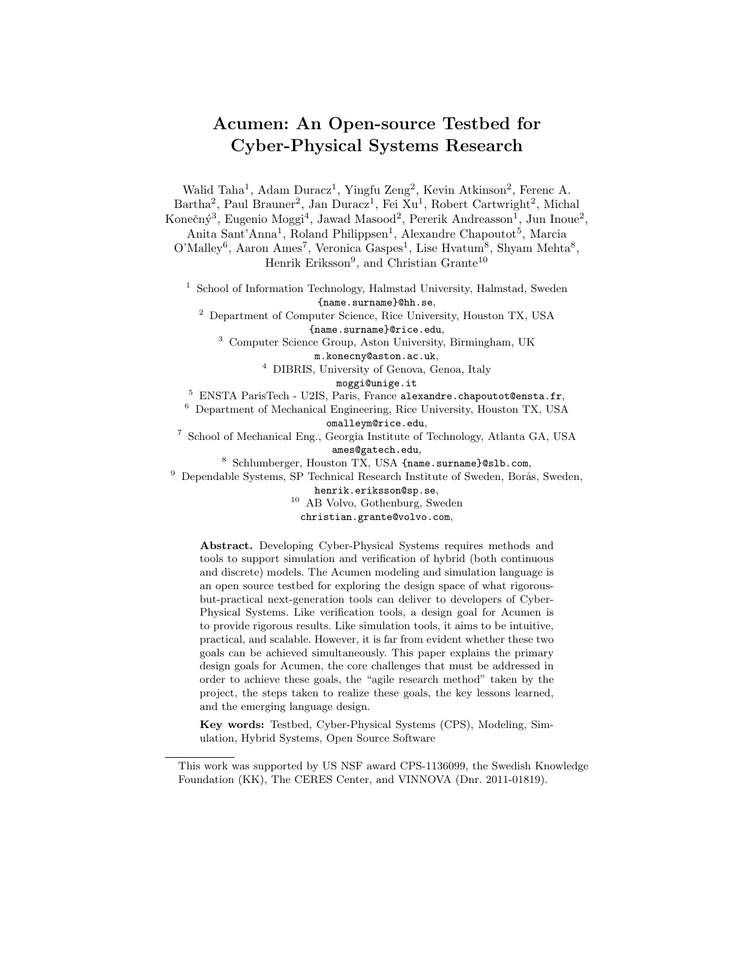# Acumen: An Open-source Testbed for Cyber-Physical Systems Research

Walid Taha<sup>1</sup>, Adam Duracz<sup>1</sup>, Yingfu Zeng<sup>2</sup>, Kevin Atkinson<sup>2</sup>, Ferenc A. Bartha<sup>2</sup>, Paul Brauner<sup>2</sup>, Jan Duracz<sup>1</sup>, Fei Xu<sup>1</sup>, Robert Cartwright<sup>2</sup>, Michal Konečný<sup>3</sup>, Eugenio Moggi<sup>4</sup>, Jawad Masood<sup>2</sup>, Pererik Andreasson<sup>1</sup>, Jun Inoue<sup>2</sup>, Anita Sant'Anna<sup>1</sup>, Roland Philippsen<sup>1</sup>, Alexandre Chapoutot<sup>5</sup>, Marcia

 $O'Malley<sup>6</sup>$ , Aaron Ames<sup>7</sup>, Veronica Gaspes<sup>1</sup>, Lise Hvatum<sup>8</sup>, Shyam Mehta<sup>8</sup>, Henrik Eriksson<sup>9</sup>, and Christian Grante<sup>10</sup>

<sup>1</sup> School of Information Technology, Halmstad University, Halmstad, Sweden {name.surname}@hh.se,

<sup>2</sup> Department of Computer Science, Rice University, Houston TX, USA {name.surname}@rice.edu,

<sup>3</sup> Computer Science Group, Aston University, Birmingham, UK

m.konecny@aston.ac.uk,

<sup>4</sup> DIBRIS, University of Genova, Genoa, Italy

## moggi@unige.it

<sup>5</sup> ENSTA ParisTech - U2IS, Paris, France alexandre.chapoutot@ensta.fr,

 $^6\,$  Department of Mechanical Engineering, Rice University, Houston TX, USA omalleym@rice.edu,

<sup>7</sup> School of Mechanical Eng., Georgia Institute of Technology, Atlanta GA, USA ames@gatech.edu,

<sup>8</sup> Schlumberger, Houston TX, USA {name.surname}@slb.com,

 $9$  Dependable Systems, SP Technical Research Institute of Sweden, Borås, Sweden,

henrik.eriksson@sp.se,

<sup>10</sup> AB Volvo, Gothenburg, Sweden christian.grante@volvo.com,

Abstract. Developing Cyber-Physical Systems requires methods and tools to support simulation and verification of hybrid (both continuous and discrete) models. The Acumen modeling and simulation language is an open source testbed for exploring the design space of what rigorousbut-practical next-generation tools can deliver to developers of Cyber-Physical Systems. Like verification tools, a design goal for Acumen is to provide rigorous results. Like simulation tools, it aims to be intuitive, practical, and scalable. However, it is far from evident whether these two goals can be achieved simultaneously. This paper explains the primary design goals for Acumen, the core challenges that must be addressed in order to achieve these goals, the "agile research method" taken by the project, the steps taken to realize these goals, the key lessons learned, and the emerging language design.

Key words: Testbed, Cyber-Physical Systems (CPS), Modeling, Simulation, Hybrid Systems, Open Source Software

This work was supported by US NSF award CPS-1136099, the Swedish Knowledge Foundation (KK), The CERES Center, and VINNOVA (Dnr. 2011-01819).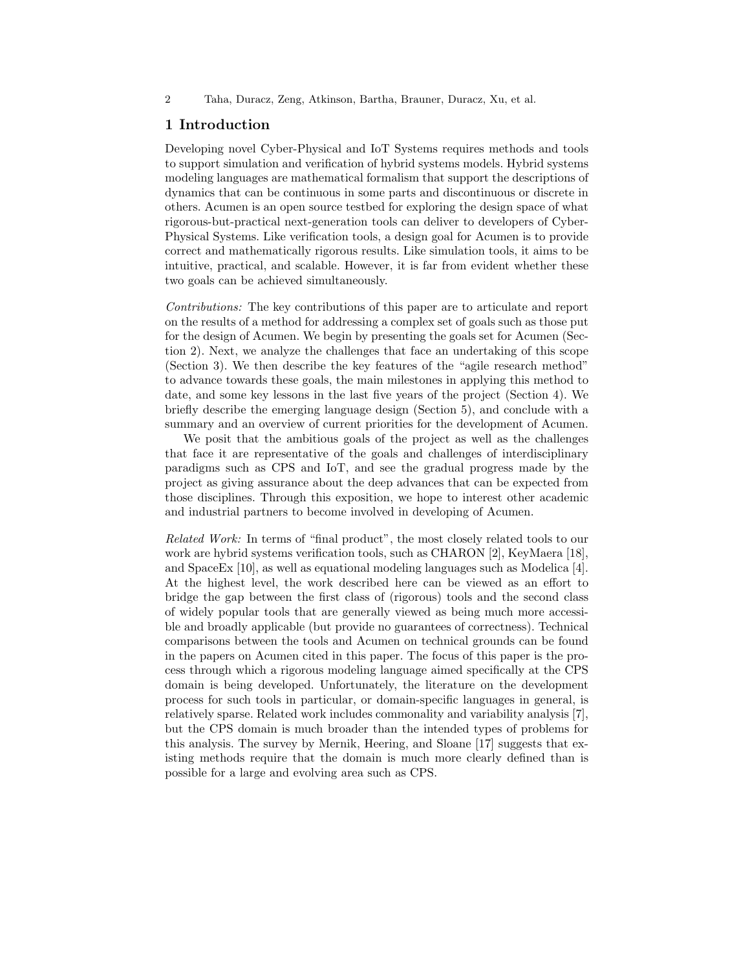2 Taha, Duracz, Zeng, Atkinson, Bartha, Brauner, Duracz, Xu, et al.

## 1 Introduction

Developing novel Cyber-Physical and IoT Systems requires methods and tools to support simulation and verification of hybrid systems models. Hybrid systems modeling languages are mathematical formalism that support the descriptions of dynamics that can be continuous in some parts and discontinuous or discrete in others. Acumen is an open source testbed for exploring the design space of what rigorous-but-practical next-generation tools can deliver to developers of Cyber-Physical Systems. Like verification tools, a design goal for Acumen is to provide correct and mathematically rigorous results. Like simulation tools, it aims to be intuitive, practical, and scalable. However, it is far from evident whether these two goals can be achieved simultaneously.

*Contributions:* The key contributions of this paper are to articulate and report on the results of a method for addressing a complex set of goals such as those put for the design of Acumen. We begin by presenting the goals set for Acumen (Section 2). Next, we analyze the challenges that face an undertaking of this scope (Section 3). We then describe the key features of the "agile research method" to advance towards these goals, the main milestones in applying this method to date, and some key lessons in the last five years of the project (Section 4). We briefly describe the emerging language design (Section 5), and conclude with a summary and an overview of current priorities for the development of Acumen.

We posit that the ambitious goals of the project as well as the challenges that face it are representative of the goals and challenges of interdisciplinary paradigms such as CPS and IoT, and see the gradual progress made by the project as giving assurance about the deep advances that can be expected from those disciplines. Through this exposition, we hope to interest other academic and industrial partners to become involved in developing of Acumen.

*Related Work:* In terms of "final product", the most closely related tools to our work are hybrid systems verification tools, such as CHARON [2], KeyMaera [18], and SpaceEx [10], as well as equational modeling languages such as Modelica [4]. At the highest level, the work described here can be viewed as an effort to bridge the gap between the first class of (rigorous) tools and the second class of widely popular tools that are generally viewed as being much more accessible and broadly applicable (but provide no guarantees of correctness). Technical comparisons between the tools and Acumen on technical grounds can be found in the papers on Acumen cited in this paper. The focus of this paper is the process through which a rigorous modeling language aimed specifically at the CPS domain is being developed. Unfortunately, the literature on the development process for such tools in particular, or domain-specific languages in general, is relatively sparse. Related work includes commonality and variability analysis [7], but the CPS domain is much broader than the intended types of problems for this analysis. The survey by Mernik, Heering, and Sloane [17] suggests that existing methods require that the domain is much more clearly defined than is possible for a large and evolving area such as CPS.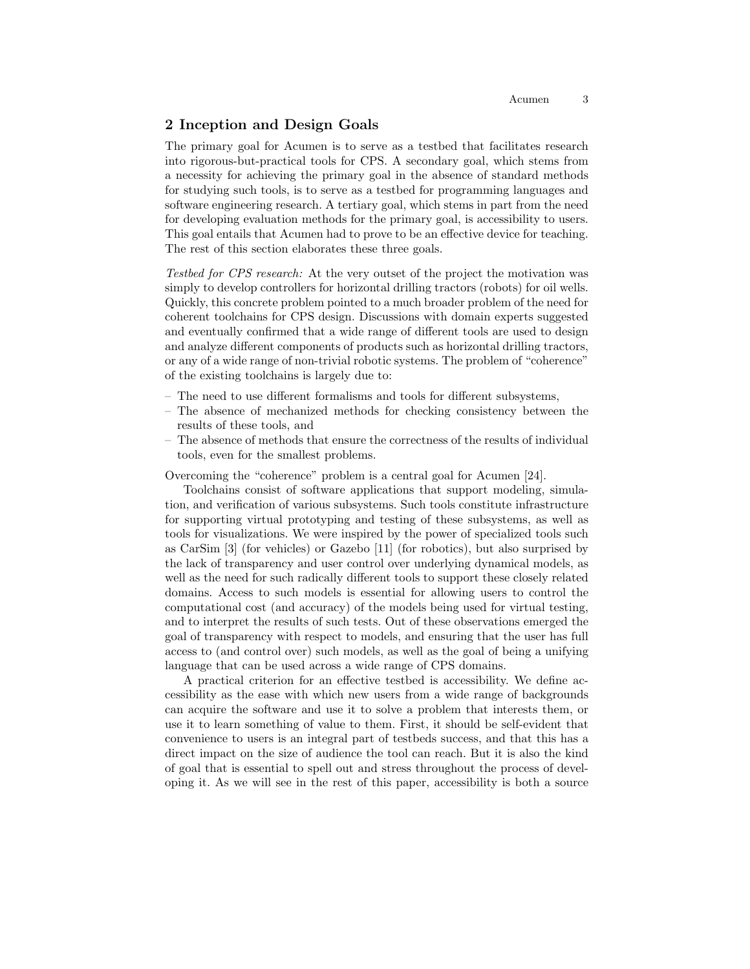# 2 Inception and Design Goals

The primary goal for Acumen is to serve as a testbed that facilitates research into rigorous-but-practical tools for CPS. A secondary goal, which stems from a necessity for achieving the primary goal in the absence of standard methods for studying such tools, is to serve as a testbed for programming languages and software engineering research. A tertiary goal, which stems in part from the need for developing evaluation methods for the primary goal, is accessibility to users. This goal entails that Acumen had to prove to be an effective device for teaching. The rest of this section elaborates these three goals.

*Testbed for CPS research:* At the very outset of the project the motivation was simply to develop controllers for horizontal drilling tractors (robots) for oil wells. Quickly, this concrete problem pointed to a much broader problem of the need for coherent toolchains for CPS design. Discussions with domain experts suggested and eventually confirmed that a wide range of different tools are used to design and analyze different components of products such as horizontal drilling tractors, or any of a wide range of non-trivial robotic systems. The problem of "coherence" of the existing toolchains is largely due to:

- $-$  The need to use different formalisms and tools for different subsystems,
- The absence of mechanized methods for checking consistency between the results of these tools, and
- The absence of methods that ensure the correctness of the results of individual tools, even for the smallest problems.

Overcoming the "coherence" problem is a central goal for Acumen [24].

Toolchains consist of software applications that support modeling, simulation, and verification of various subsystems. Such tools constitute infrastructure for supporting virtual prototyping and testing of these subsystems, as well as tools for visualizations. We were inspired by the power of specialized tools such as CarSim [3] (for vehicles) or Gazebo [11] (for robotics), but also surprised by the lack of transparency and user control over underlying dynamical models, as well as the need for such radically different tools to support these closely related domains. Access to such models is essential for allowing users to control the computational cost (and accuracy) of the models being used for virtual testing, and to interpret the results of such tests. Out of these observations emerged the goal of transparency with respect to models, and ensuring that the user has full access to (and control over) such models, as well as the goal of being a unifying language that can be used across a wide range of CPS domains.

A practical criterion for an effective testbed is accessibility. We define accessibility as the ease with which new users from a wide range of backgrounds can acquire the software and use it to solve a problem that interests them, or use it to learn something of value to them. First, it should be self-evident that convenience to users is an integral part of testbeds success, and that this has a direct impact on the size of audience the tool can reach. But it is also the kind of goal that is essential to spell out and stress throughout the process of developing it. As we will see in the rest of this paper, accessibility is both a source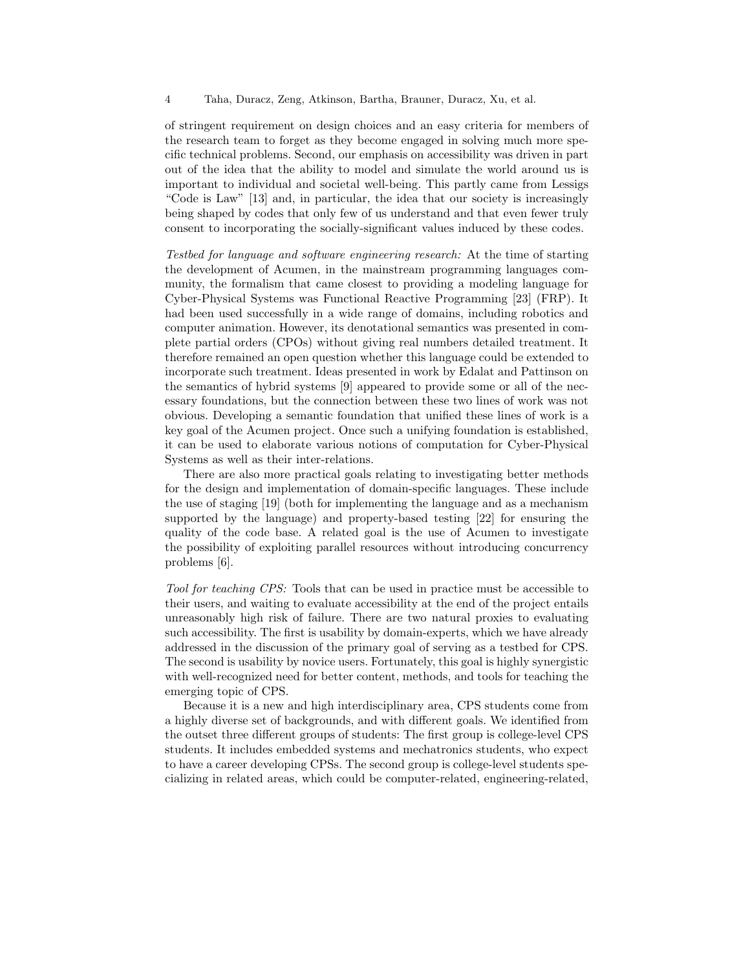of stringent requirement on design choices and an easy criteria for members of the research team to forget as they become engaged in solving much more specific technical problems. Second, our emphasis on accessibility was driven in part out of the idea that the ability to model and simulate the world around us is important to individual and societal well-being. This partly came from Lessigs "Code is Law" [13] and, in particular, the idea that our society is increasingly being shaped by codes that only few of us understand and that even fewer truly consent to incorporating the socially-significant values induced by these codes.

*Testbed for language and software engineering research:* At the time of starting the development of Acumen, in the mainstream programming languages community, the formalism that came closest to providing a modeling language for Cyber-Physical Systems was Functional Reactive Programming [23] (FRP). It had been used successfully in a wide range of domains, including robotics and computer animation. However, its denotational semantics was presented in complete partial orders (CPOs) without giving real numbers detailed treatment. It therefore remained an open question whether this language could be extended to incorporate such treatment. Ideas presented in work by Edalat and Pattinson on the semantics of hybrid systems [9] appeared to provide some or all of the necessary foundations, but the connection between these two lines of work was not obvious. Developing a semantic foundation that unified these lines of work is a key goal of the Acumen project. Once such a unifying foundation is established, it can be used to elaborate various notions of computation for Cyber-Physical Systems as well as their inter-relations.

There are also more practical goals relating to investigating better methods for the design and implementation of domain-specific languages. These include the use of staging [19] (both for implementing the language and as a mechanism supported by the language) and property-based testing [22] for ensuring the quality of the code base. A related goal is the use of Acumen to investigate the possibility of exploiting parallel resources without introducing concurrency problems [6].

*Tool for teaching CPS:* Tools that can be used in practice must be accessible to their users, and waiting to evaluate accessibility at the end of the project entails unreasonably high risk of failure. There are two natural proxies to evaluating such accessibility. The first is usability by domain-experts, which we have already addressed in the discussion of the primary goal of serving as a testbed for CPS. The second is usability by novice users. Fortunately, this goal is highly synergistic with well-recognized need for better content, methods, and tools for teaching the emerging topic of CPS.

Because it is a new and high interdisciplinary area, CPS students come from a highly diverse set of backgrounds, and with different goals. We identified from the outset three different groups of students: The first group is college-level CPS students. It includes embedded systems and mechatronics students, who expect to have a career developing CPSs. The second group is college-level students specializing in related areas, which could be computer-related, engineering-related,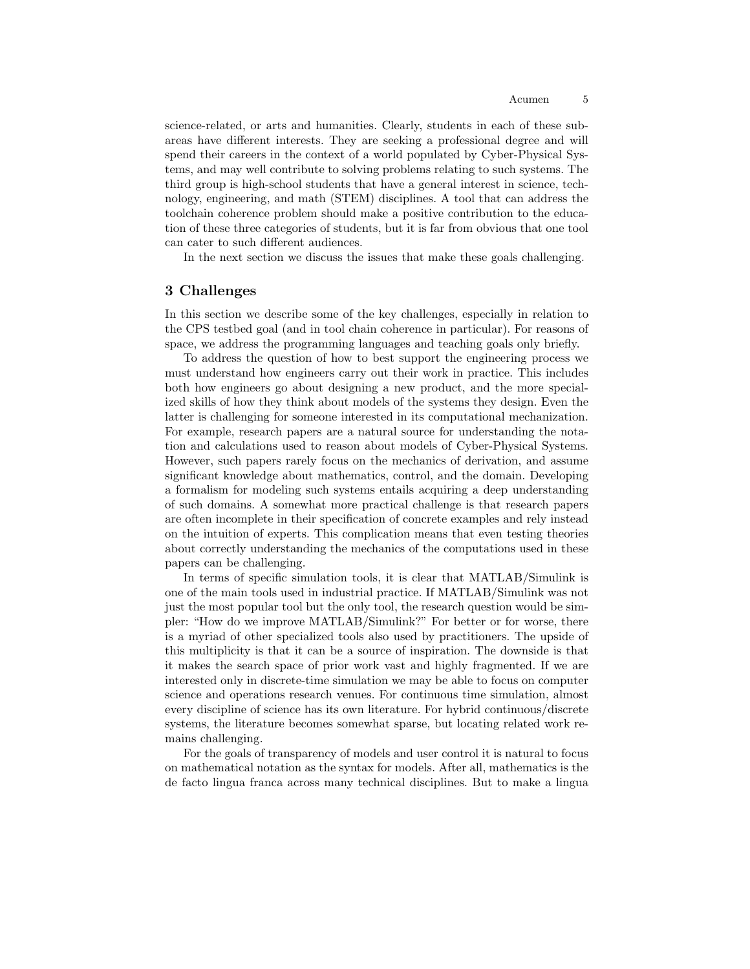science-related, or arts and humanities. Clearly, students in each of these subareas have different interests. They are seeking a professional degree and will spend their careers in the context of a world populated by Cyber-Physical Systems, and may well contribute to solving problems relating to such systems. The third group is high-school students that have a general interest in science, technology, engineering, and math (STEM) disciplines. A tool that can address the toolchain coherence problem should make a positive contribution to the education of these three categories of students, but it is far from obvious that one tool can cater to such different audiences.

In the next section we discuss the issues that make these goals challenging.

## 3 Challenges

In this section we describe some of the key challenges, especially in relation to the CPS testbed goal (and in tool chain coherence in particular). For reasons of space, we address the programming languages and teaching goals only briefly.

To address the question of how to best support the engineering process we must understand how engineers carry out their work in practice. This includes both how engineers go about designing a new product, and the more specialized skills of how they think about models of the systems they design. Even the latter is challenging for someone interested in its computational mechanization. For example, research papers are a natural source for understanding the notation and calculations used to reason about models of Cyber-Physical Systems. However, such papers rarely focus on the mechanics of derivation, and assume significant knowledge about mathematics, control, and the domain. Developing a formalism for modeling such systems entails acquiring a deep understanding of such domains. A somewhat more practical challenge is that research papers are often incomplete in their specification of concrete examples and rely instead on the intuition of experts. This complication means that even testing theories about correctly understanding the mechanics of the computations used in these papers can be challenging.

In terms of specific simulation tools, it is clear that MATLAB/Simulink is one of the main tools used in industrial practice. If MATLAB/Simulink was not just the most popular tool but the only tool, the research question would be simpler: "How do we improve MATLAB/Simulink?" For better or for worse, there is a myriad of other specialized tools also used by practitioners. The upside of this multiplicity is that it can be a source of inspiration. The downside is that it makes the search space of prior work vast and highly fragmented. If we are interested only in discrete-time simulation we may be able to focus on computer science and operations research venues. For continuous time simulation, almost every discipline of science has its own literature. For hybrid continuous/discrete systems, the literature becomes somewhat sparse, but locating related work remains challenging.

For the goals of transparency of models and user control it is natural to focus on mathematical notation as the syntax for models. After all, mathematics is the de facto lingua franca across many technical disciplines. But to make a lingua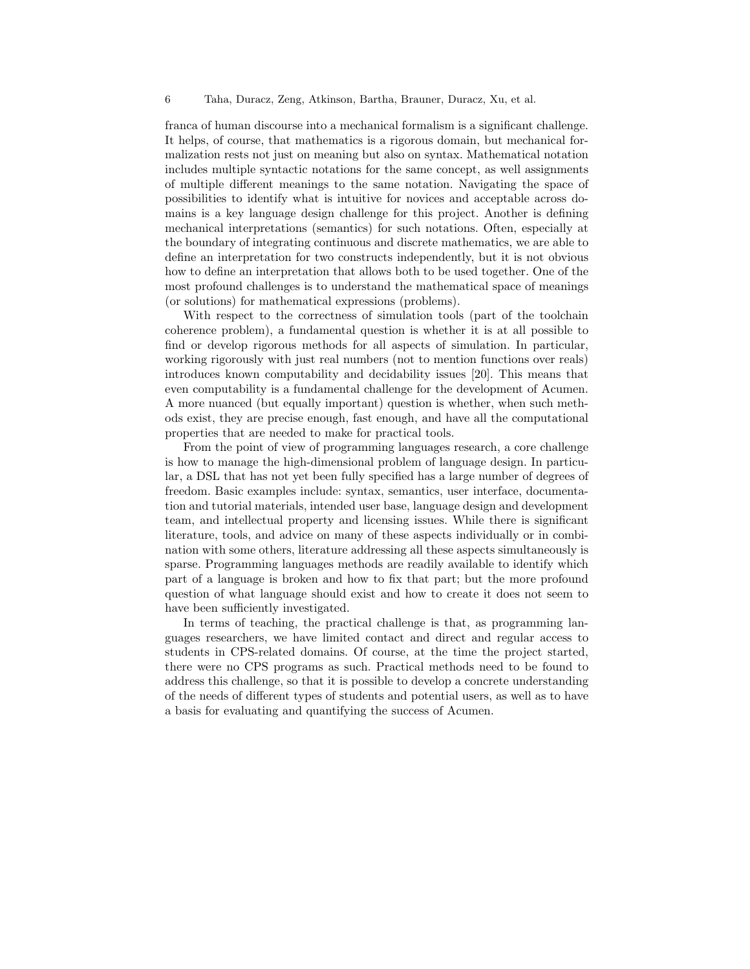#### 6 Taha, Duracz, Zeng, Atkinson, Bartha, Brauner, Duracz, Xu, et al.

franca of human discourse into a mechanical formalism is a significant challenge. It helps, of course, that mathematics is a rigorous domain, but mechanical formalization rests not just on meaning but also on syntax. Mathematical notation includes multiple syntactic notations for the same concept, as well assignments of multiple different meanings to the same notation. Navigating the space of possibilities to identify what is intuitive for novices and acceptable across domains is a key language design challenge for this project. Another is defining mechanical interpretations (semantics) for such notations. Often, especially at the boundary of integrating continuous and discrete mathematics, we are able to define an interpretation for two constructs independently, but it is not obvious how to define an interpretation that allows both to be used together. One of the most profound challenges is to understand the mathematical space of meanings (or solutions) for mathematical expressions (problems).

With respect to the correctness of simulation tools (part of the toolchain coherence problem), a fundamental question is whether it is at all possible to find or develop rigorous methods for all aspects of simulation. In particular, working rigorously with just real numbers (not to mention functions over reals) introduces known computability and decidability issues [20]. This means that even computability is a fundamental challenge for the development of Acumen. A more nuanced (but equally important) question is whether, when such methods exist, they are precise enough, fast enough, and have all the computational properties that are needed to make for practical tools.

From the point of view of programming languages research, a core challenge is how to manage the high-dimensional problem of language design. In particular, a DSL that has not yet been fully specified has a large number of degrees of freedom. Basic examples include: syntax, semantics, user interface, documentation and tutorial materials, intended user base, language design and development team, and intellectual property and licensing issues. While there is significant literature, tools, and advice on many of these aspects individually or in combination with some others, literature addressing all these aspects simultaneously is sparse. Programming languages methods are readily available to identify which part of a language is broken and how to fix that part; but the more profound question of what language should exist and how to create it does not seem to have been sufficiently investigated.

In terms of teaching, the practical challenge is that, as programming languages researchers, we have limited contact and direct and regular access to students in CPS-related domains. Of course, at the time the project started, there were no CPS programs as such. Practical methods need to be found to address this challenge, so that it is possible to develop a concrete understanding of the needs of different types of students and potential users, as well as to have a basis for evaluating and quantifying the success of Acumen.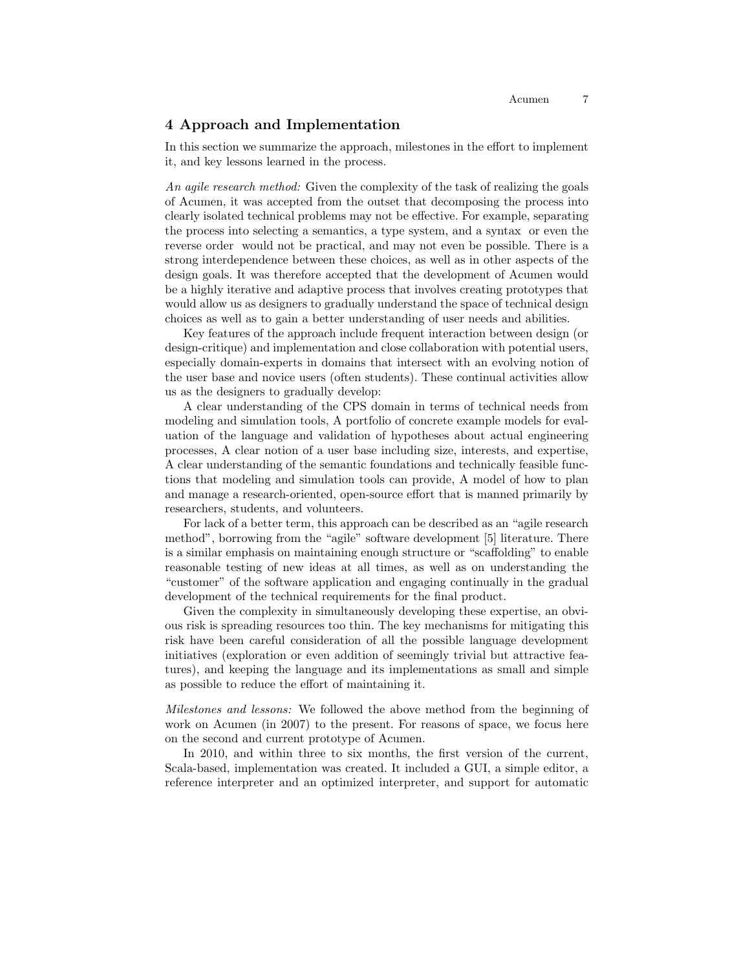# 4 Approach and Implementation

In this section we summarize the approach, milestones in the effort to implement it, and key lessons learned in the process.

*An agile research method:* Given the complexity of the task of realizing the goals of Acumen, it was accepted from the outset that decomposing the process into clearly isolated technical problems may not be effective. For example, separating the process into selecting a semantics, a type system, and a syntax or even the reverse order would not be practical, and may not even be possible. There is a strong interdependence between these choices, as well as in other aspects of the design goals. It was therefore accepted that the development of Acumen would be a highly iterative and adaptive process that involves creating prototypes that would allow us as designers to gradually understand the space of technical design choices as well as to gain a better understanding of user needs and abilities.

Key features of the approach include frequent interaction between design (or design-critique) and implementation and close collaboration with potential users, especially domain-experts in domains that intersect with an evolving notion of the user base and novice users (often students). These continual activities allow us as the designers to gradually develop:

A clear understanding of the CPS domain in terms of technical needs from modeling and simulation tools, A portfolio of concrete example models for evaluation of the language and validation of hypotheses about actual engineering processes, A clear notion of a user base including size, interests, and expertise, A clear understanding of the semantic foundations and technically feasible functions that modeling and simulation tools can provide, A model of how to plan and manage a research-oriented, open-source effort that is manned primarily by researchers, students, and volunteers.

For lack of a better term, this approach can be described as an "agile research method", borrowing from the "agile" software development [5] literature. There is a similar emphasis on maintaining enough structure or "scaffolding" to enable reasonable testing of new ideas at all times, as well as on understanding the "customer" of the software application and engaging continually in the gradual development of the technical requirements for the final product.

Given the complexity in simultaneously developing these expertise, an obvious risk is spreading resources too thin. The key mechanisms for mitigating this risk have been careful consideration of all the possible language development initiatives (exploration or even addition of seemingly trivial but attractive features), and keeping the language and its implementations as small and simple as possible to reduce the effort of maintaining it.

*Milestones and lessons:* We followed the above method from the beginning of work on Acumen (in 2007) to the present. For reasons of space, we focus here on the second and current prototype of Acumen.

In 2010, and within three to six months, the first version of the current, Scala-based, implementation was created. It included a GUI, a simple editor, a reference interpreter and an optimized interpreter, and support for automatic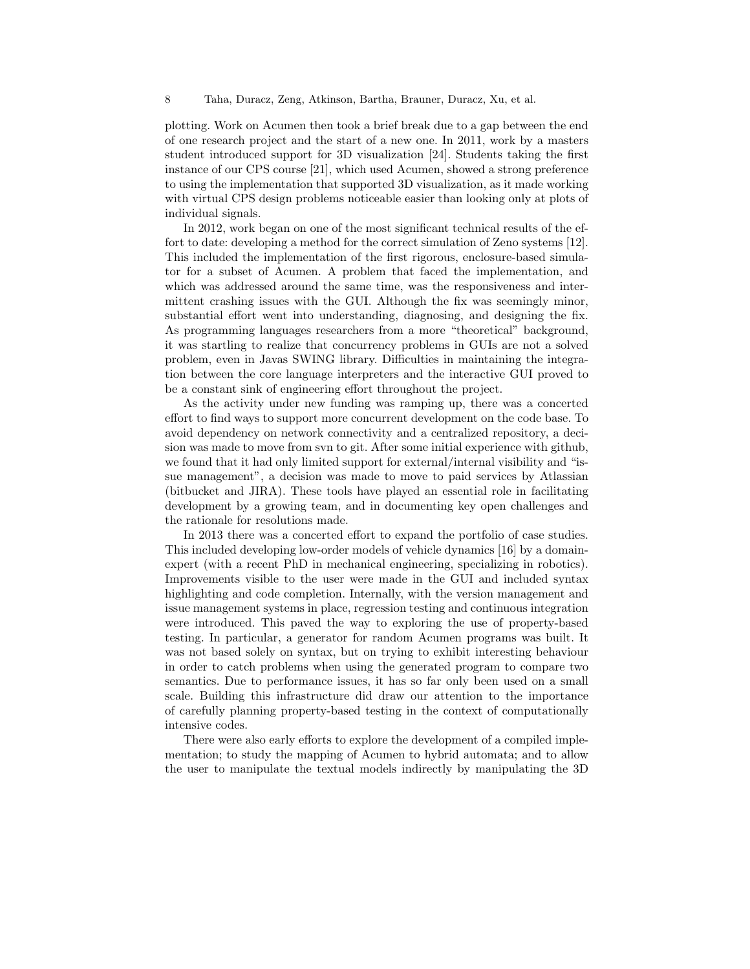plotting. Work on Acumen then took a brief break due to a gap between the end of one research project and the start of a new one. In 2011, work by a masters student introduced support for 3D visualization [24]. Students taking the first instance of our CPS course [21], which used Acumen, showed a strong preference to using the implementation that supported 3D visualization, as it made working with virtual CPS design problems noticeable easier than looking only at plots of individual signals.

In 2012, work began on one of the most significant technical results of the effort to date: developing a method for the correct simulation of Zeno systems [12]. This included the implementation of the first rigorous, enclosure-based simulator for a subset of Acumen. A problem that faced the implementation, and which was addressed around the same time, was the responsiveness and intermittent crashing issues with the GUI. Although the fix was seemingly minor, substantial effort went into understanding, diagnosing, and designing the fix. As programming languages researchers from a more "theoretical" background, it was startling to realize that concurrency problems in GUIs are not a solved problem, even in Javas SWING library. Difficulties in maintaining the integration between the core language interpreters and the interactive GUI proved to be a constant sink of engineering effort throughout the project.

As the activity under new funding was ramping up, there was a concerted effort to find ways to support more concurrent development on the code base. To avoid dependency on network connectivity and a centralized repository, a decision was made to move from svn to git. After some initial experience with github, we found that it had only limited support for external/internal visibility and "issue management", a decision was made to move to paid services by Atlassian (bitbucket and JIRA). These tools have played an essential role in facilitating development by a growing team, and in documenting key open challenges and the rationale for resolutions made.

In 2013 there was a concerted effort to expand the portfolio of case studies. This included developing low-order models of vehicle dynamics [16] by a domainexpert (with a recent PhD in mechanical engineering, specializing in robotics). Improvements visible to the user were made in the GUI and included syntax highlighting and code completion. Internally, with the version management and issue management systems in place, regression testing and continuous integration were introduced. This paved the way to exploring the use of property-based testing. In particular, a generator for random Acumen programs was built. It was not based solely on syntax, but on trying to exhibit interesting behaviour in order to catch problems when using the generated program to compare two semantics. Due to performance issues, it has so far only been used on a small scale. Building this infrastructure did draw our attention to the importance of carefully planning property-based testing in the context of computationally intensive codes.

There were also early efforts to explore the development of a compiled implementation; to study the mapping of Acumen to hybrid automata; and to allow the user to manipulate the textual models indirectly by manipulating the 3D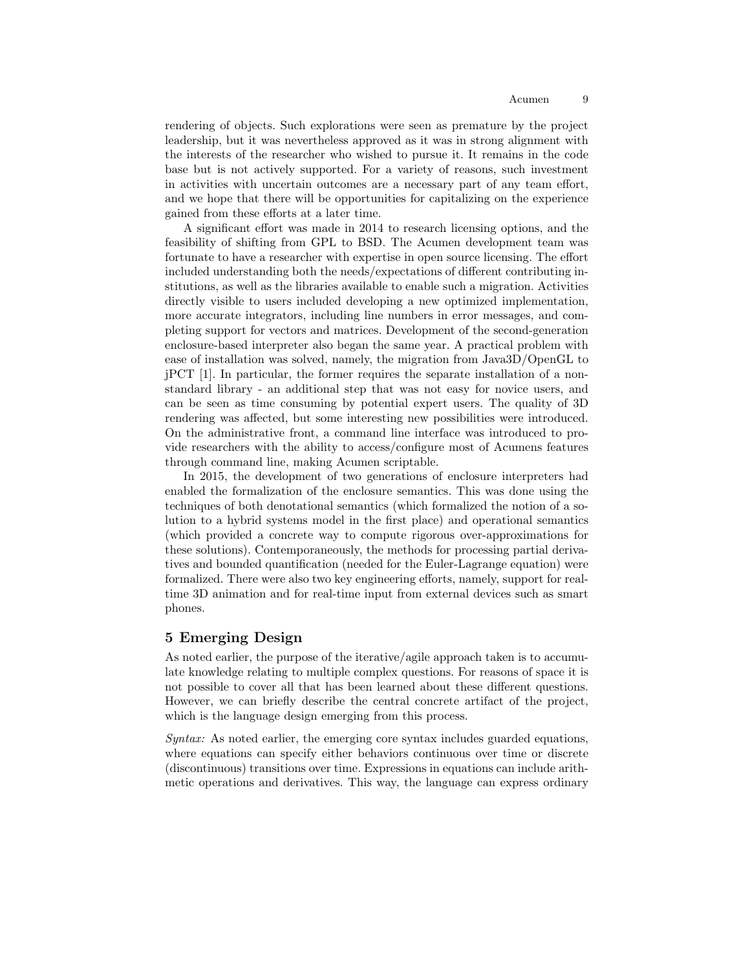rendering of objects. Such explorations were seen as premature by the project leadership, but it was nevertheless approved as it was in strong alignment with the interests of the researcher who wished to pursue it. It remains in the code base but is not actively supported. For a variety of reasons, such investment in activities with uncertain outcomes are a necessary part of any team effort, and we hope that there will be opportunities for capitalizing on the experience gained from these efforts at a later time.

A significant effort was made in 2014 to research licensing options, and the feasibility of shifting from GPL to BSD. The Acumen development team was fortunate to have a researcher with expertise in open source licensing. The effort included understanding both the needs/expectations of different contributing institutions, as well as the libraries available to enable such a migration. Activities directly visible to users included developing a new optimized implementation, more accurate integrators, including line numbers in error messages, and completing support for vectors and matrices. Development of the second-generation enclosure-based interpreter also began the same year. A practical problem with ease of installation was solved, namely, the migration from Java3D/OpenGL to jPCT [1]. In particular, the former requires the separate installation of a nonstandard library - an additional step that was not easy for novice users, and can be seen as time consuming by potential expert users. The quality of 3D rendering was affected, but some interesting new possibilities were introduced. On the administrative front, a command line interface was introduced to provide researchers with the ability to access/configure most of Acumens features through command line, making Acumen scriptable.

In 2015, the development of two generations of enclosure interpreters had enabled the formalization of the enclosure semantics. This was done using the techniques of both denotational semantics (which formalized the notion of a solution to a hybrid systems model in the first place) and operational semantics (which provided a concrete way to compute rigorous over-approximations for these solutions). Contemporaneously, the methods for processing partial derivatives and bounded quantification (needed for the Euler-Lagrange equation) were formalized. There were also two key engineering efforts, namely, support for realtime 3D animation and for real-time input from external devices such as smart phones.

## 5 Emerging Design

As noted earlier, the purpose of the iterative/agile approach taken is to accumulate knowledge relating to multiple complex questions. For reasons of space it is not possible to cover all that has been learned about these different questions. However, we can briefly describe the central concrete artifact of the project, which is the language design emerging from this process.

*Syntax:* As noted earlier, the emerging core syntax includes guarded equations, where equations can specify either behaviors continuous over time or discrete (discontinuous) transitions over time. Expressions in equations can include arithmetic operations and derivatives. This way, the language can express ordinary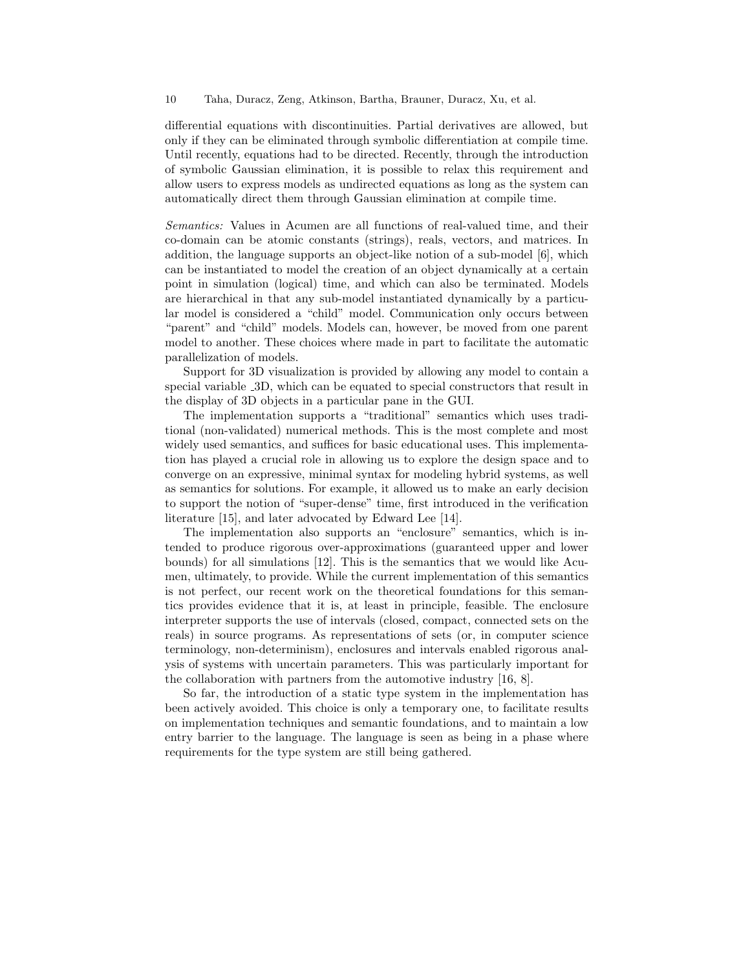differential equations with discontinuities. Partial derivatives are allowed, but only if they can be eliminated through symbolic differentiation at compile time. Until recently, equations had to be directed. Recently, through the introduction of symbolic Gaussian elimination, it is possible to relax this requirement and allow users to express models as undirected equations as long as the system can automatically direct them through Gaussian elimination at compile time.

*Semantics:* Values in Acumen are all functions of real-valued time, and their co-domain can be atomic constants (strings), reals, vectors, and matrices. In addition, the language supports an object-like notion of a sub-model [6], which can be instantiated to model the creation of an object dynamically at a certain point in simulation (logical) time, and which can also be terminated. Models are hierarchical in that any sub-model instantiated dynamically by a particular model is considered a "child" model. Communication only occurs between "parent" and "child" models. Models can, however, be moved from one parent model to another. These choices where made in part to facilitate the automatic parallelization of models.

Support for 3D visualization is provided by allowing any model to contain a special variable 3D, which can be equated to special constructors that result in the display of 3D objects in a particular pane in the GUI.

The implementation supports a "traditional" semantics which uses traditional (non-validated) numerical methods. This is the most complete and most widely used semantics, and suffices for basic educational uses. This implementation has played a crucial role in allowing us to explore the design space and to converge on an expressive, minimal syntax for modeling hybrid systems, as well as semantics for solutions. For example, it allowed us to make an early decision to support the notion of "super-dense" time, first introduced in the verification literature [15], and later advocated by Edward Lee [14].

The implementation also supports an "enclosure" semantics, which is intended to produce rigorous over-approximations (guaranteed upper and lower bounds) for all simulations [12]. This is the semantics that we would like Acumen, ultimately, to provide. While the current implementation of this semantics is not perfect, our recent work on the theoretical foundations for this semantics provides evidence that it is, at least in principle, feasible. The enclosure interpreter supports the use of intervals (closed, compact, connected sets on the reals) in source programs. As representations of sets (or, in computer science terminology, non-determinism), enclosures and intervals enabled rigorous analysis of systems with uncertain parameters. This was particularly important for the collaboration with partners from the automotive industry [16, 8].

So far, the introduction of a static type system in the implementation has been actively avoided. This choice is only a temporary one, to facilitate results on implementation techniques and semantic foundations, and to maintain a low entry barrier to the language. The language is seen as being in a phase where requirements for the type system are still being gathered.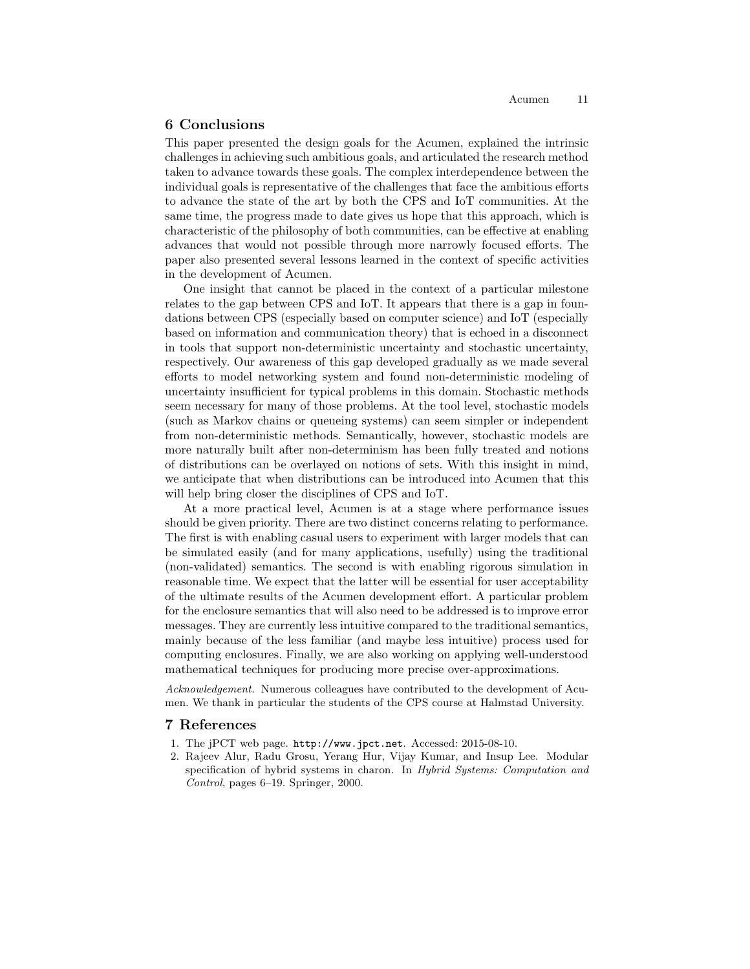## 6 Conclusions

This paper presented the design goals for the Acumen, explained the intrinsic challenges in achieving such ambitious goals, and articulated the research method taken to advance towards these goals. The complex interdependence between the individual goals is representative of the challenges that face the ambitious efforts to advance the state of the art by both the CPS and IoT communities. At the same time, the progress made to date gives us hope that this approach, which is characteristic of the philosophy of both communities, can be effective at enabling advances that would not possible through more narrowly focused efforts. The paper also presented several lessons learned in the context of specific activities in the development of Acumen.

One insight that cannot be placed in the context of a particular milestone relates to the gap between CPS and IoT. It appears that there is a gap in foundations between CPS (especially based on computer science) and IoT (especially based on information and communication theory) that is echoed in a disconnect in tools that support non-deterministic uncertainty and stochastic uncertainty, respectively. Our awareness of this gap developed gradually as we made several efforts to model networking system and found non-deterministic modeling of uncertainty insufficient for typical problems in this domain. Stochastic methods seem necessary for many of those problems. At the tool level, stochastic models (such as Markov chains or queueing systems) can seem simpler or independent from non-deterministic methods. Semantically, however, stochastic models are more naturally built after non-determinism has been fully treated and notions of distributions can be overlayed on notions of sets. With this insight in mind, we anticipate that when distributions can be introduced into Acumen that this will help bring closer the disciplines of CPS and IoT.

At a more practical level, Acumen is at a stage where performance issues should be given priority. There are two distinct concerns relating to performance. The first is with enabling casual users to experiment with larger models that can be simulated easily (and for many applications, usefully) using the traditional (non-validated) semantics. The second is with enabling rigorous simulation in reasonable time. We expect that the latter will be essential for user acceptability of the ultimate results of the Acumen development effort. A particular problem for the enclosure semantics that will also need to be addressed is to improve error messages. They are currently less intuitive compared to the traditional semantics, mainly because of the less familiar (and maybe less intuitive) process used for computing enclosures. Finally, we are also working on applying well-understood mathematical techniques for producing more precise over-approximations.

*Acknowledgement.* Numerous colleagues have contributed to the development of Acumen. We thank in particular the students of the CPS course at Halmstad University.

#### 7 References

- 1. The jPCT web page. http://www.jpct.net. Accessed: 2015-08-10.
- 2. Rajeev Alur, Radu Grosu, Yerang Hur, Vijay Kumar, and Insup Lee. Modular specification of hybrid systems in charon. In *Hybrid Systems: Computation and Control*, pages 6–19. Springer, 2000.